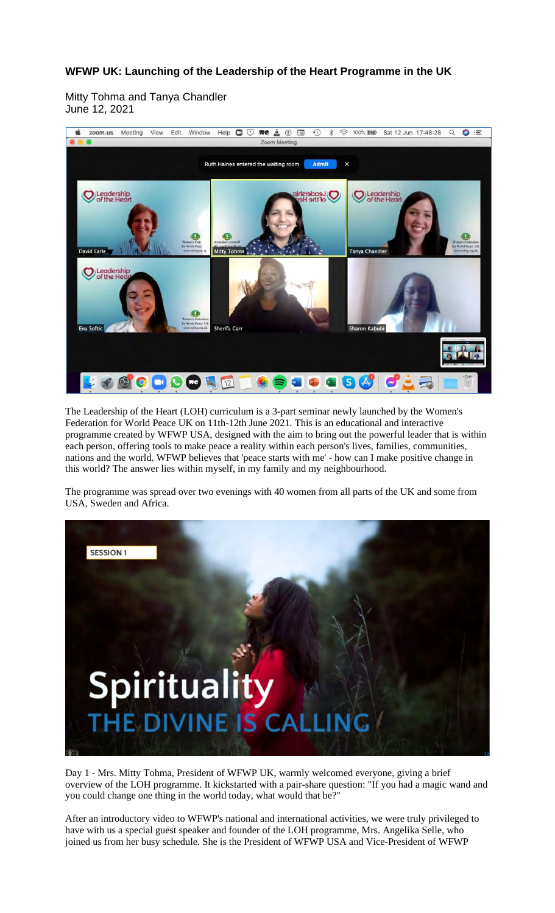## **WFWP UK: Launching of the Leadership of the Heart Programme in the UK**

Mitty Tohma and Tanya Chandler June 12, 2021



The Leadership of the Heart (LOH) curriculum is a 3-part seminar newly launched by the Women's Federation for World Peace UK on 11th-12th June 2021. This is an educational and interactive programme created by WFWP USA, designed with the aim to bring out the powerful leader that is within each person, offering tools to make peace a reality within each person's lives, families, communities, nations and the world. WFWP believes that 'peace starts with me' - how can I make positive change in this world? The answer lies within myself, in my family and my neighbourhood.

The programme was spread over two evenings with 40 women from all parts of the UK and some from USA, Sweden and Africa.



Day 1 - Mrs. Mitty Tohma, President of WFWP UK, warmly welcomed everyone, giving a brief overview of the LOH programme. It kickstarted with a pair-share question: "If you had a magic wand and you could change one thing in the world today, what would that be?"

After an introductory video to WFWP's national and international activities, we were truly privileged to have with us a special guest speaker and founder of the LOH programme, Mrs. Angelika Selle, who joined us from her busy schedule. She is the President of WFWP USA and Vice-President of WFWP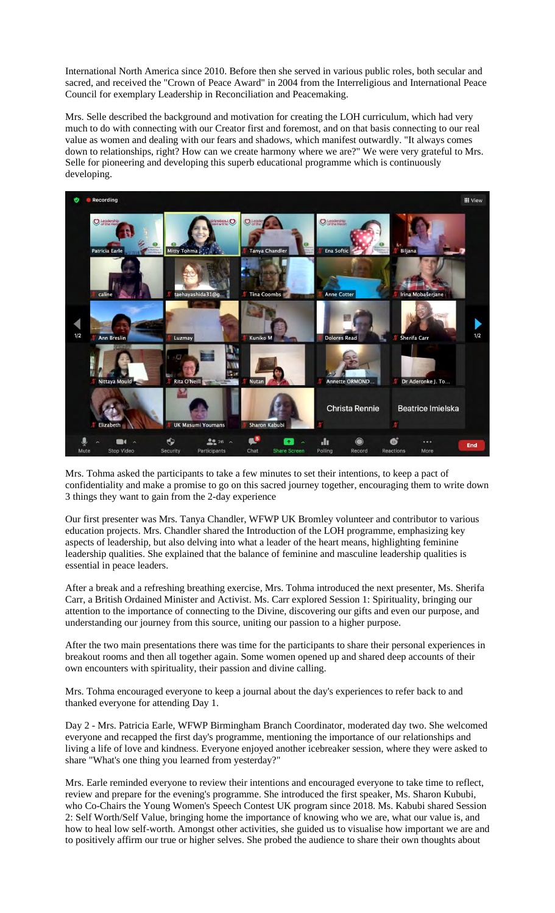International North America since 2010. Before then she served in various public roles, both secular and sacred, and received the "Crown of Peace Award" in 2004 from the Interreligious and International Peace Council for exemplary Leadership in Reconciliation and Peacemaking.

Mrs. Selle described the background and motivation for creating the LOH curriculum, which had very much to do with connecting with our Creator first and foremost, and on that basis connecting to our real value as women and dealing with our fears and shadows, which manifest outwardly. "It always comes down to relationships, right? How can we create harmony where we are?" We were very grateful to Mrs. Selle for pioneering and developing this superb educational programme which is continuously developing.



Mrs. Tohma asked the participants to take a few minutes to set their intentions, to keep a pact of confidentiality and make a promise to go on this sacred journey together, encouraging them to write down 3 things they want to gain from the 2-day experience

Our first presenter was Mrs. Tanya Chandler, WFWP UK Bromley volunteer and contributor to various education projects. Mrs. Chandler shared the Introduction of the LOH programme, emphasizing key aspects of leadership, but also delving into what a leader of the heart means, highlighting feminine leadership qualities. She explained that the balance of feminine and masculine leadership qualities is essential in peace leaders.

After a break and a refreshing breathing exercise, Mrs. Tohma introduced the next presenter, Ms. Sherifa Carr, a British Ordained Minister and Activist. Ms. Carr explored Session 1: Spirituality, bringing our attention to the importance of connecting to the Divine, discovering our gifts and even our purpose, and understanding our journey from this source, uniting our passion to a higher purpose.

After the two main presentations there was time for the participants to share their personal experiences in breakout rooms and then all together again. Some women opened up and shared deep accounts of their own encounters with spirituality, their passion and divine calling.

Mrs. Tohma encouraged everyone to keep a journal about the day's experiences to refer back to and thanked everyone for attending Day 1.

Day 2 - Mrs. Patricia Earle, WFWP Birmingham Branch Coordinator, moderated day two. She welcomed everyone and recapped the first day's programme, mentioning the importance of our relationships and living a life of love and kindness. Everyone enjoyed another icebreaker session, where they were asked to share "What's one thing you learned from yesterday?"

Mrs. Earle reminded everyone to review their intentions and encouraged everyone to take time to reflect, review and prepare for the evening's programme. She introduced the first speaker, Ms. Sharon Kububi, who Co-Chairs the Young Women's Speech Contest UK program since 2018. Ms. Kabubi shared Session 2: Self Worth/Self Value, bringing home the importance of knowing who we are, what our value is, and how to heal low self-worth. Amongst other activities, she guided us to visualise how important we are and to positively affirm our true or higher selves. She probed the audience to share their own thoughts about